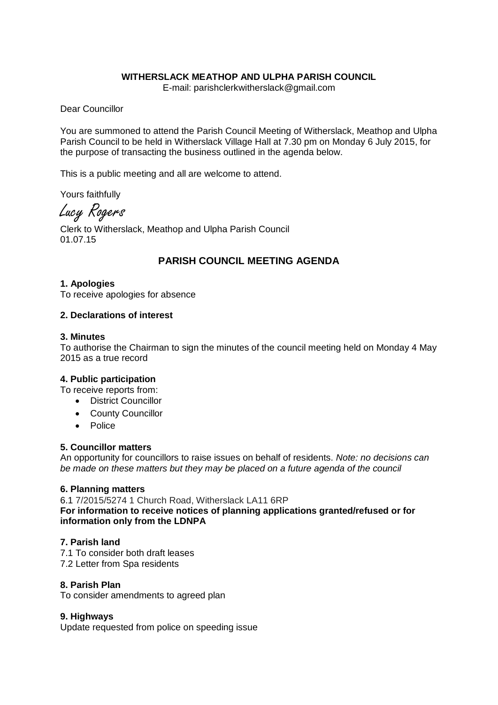# **WITHERSLACK MEATHOP AND ULPHA PARISH COUNCIL**

E-mail: parishclerkwitherslack@gmail.com

Dear Councillor

You are summoned to attend the Parish Council Meeting of Witherslack, Meathop and Ulpha Parish Council to be held in Witherslack Village Hall at 7.30 pm on Monday 6 July 2015, for the purpose of transacting the business outlined in the agenda below.

This is a public meeting and all are welcome to attend.

Yours faithfully

Lucy Rogers

Clerk to Witherslack, Meathop and Ulpha Parish Council 01.07.15

# **PARISH COUNCIL MEETING AGENDA**

#### **1. Apologies**

To receive apologies for absence

#### **2. Declarations of interest**

#### **3. Minutes**

To authorise the Chairman to sign the minutes of the council meeting held on Monday 4 May 2015 as a true record

#### **4. Public participation**

To receive reports from:

- District Councillor
- County Councillor
- Police

#### **5. Councillor matters**

An opportunity for councillors to raise issues on behalf of residents. *Note: no decisions can be made on these matters but they may be placed on a future agenda of the council*

# **6. Planning matters**

6.1 7/2015/5274 1 Church Road, Witherslack LA11 6RP

**For information to receive notices of planning applications granted/refused or for information only from the LDNPA** 

# **7. Parish land**

7.1 To consider both draft leases 7.2 Letter from Spa residents

# **8. Parish Plan**

To consider amendments to agreed plan

# **9. Highways**

Update requested from police on speeding issue